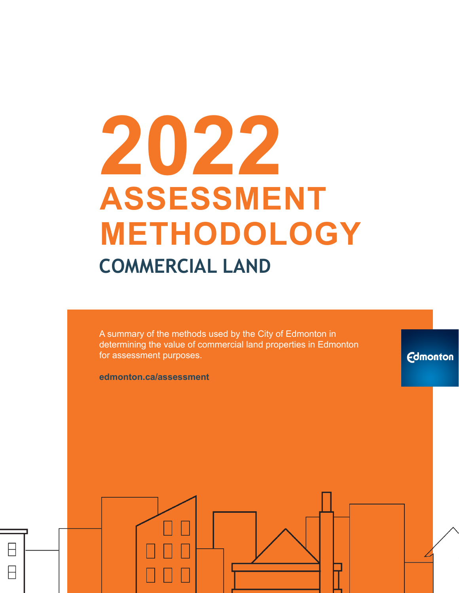# **2022 ASSESSMENT METHODOLOGY COMMERCIAL LAND**

A summary of the methods used by the City of Edmonton in determining the value of commercial land properties in Edmonton for assessment purposes.

**Edmonton** 

**edmonton.ca/assessment**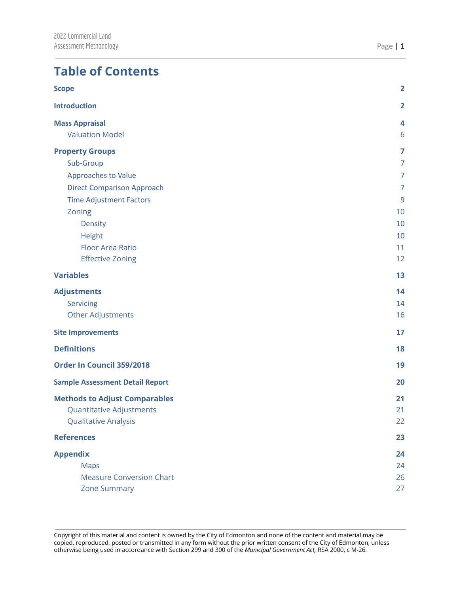# **Table of Contents**

| <b>Scope</b>                           | $\overline{\mathbf{2}}$ |
|----------------------------------------|-------------------------|
| <b>Introduction</b>                    | $\overline{2}$          |
| <b>Mass Appraisal</b>                  | 4                       |
| <b>Valuation Model</b>                 | 6                       |
| <b>Property Groups</b>                 | 7                       |
| Sub-Group                              | $\overline{7}$          |
| Approaches to Value                    | $\overline{7}$          |
| <b>Direct Comparison Approach</b>      | 7                       |
| <b>Time Adjustment Factors</b>         | $\overline{9}$          |
| Zoning                                 | 10                      |
| <b>Density</b>                         | 10                      |
| Height                                 | 10                      |
| <b>Floor Area Ratio</b>                | 11                      |
| <b>Effective Zoning</b>                | 12                      |
| <b>Variables</b>                       | 13                      |
| <b>Adjustments</b>                     | 14                      |
| Servicing                              | 14                      |
| Other Adjustments                      | 16                      |
| <b>Site Improvements</b>               | 17                      |
| <b>Definitions</b>                     | 18                      |
| Order In Council 359/2018              | 19                      |
| <b>Sample Assessment Detail Report</b> | 20                      |
| <b>Methods to Adjust Comparables</b>   | 21                      |
| <b>Quantitative Adjustments</b>        | 21                      |
| Qualitative Analysis                   | 22                      |
| <b>References</b>                      | 23                      |
| <b>Appendix</b>                        | 24                      |
| <b>Maps</b>                            | 24                      |
| <b>Measure Conversion Chart</b>        | 26                      |
| <b>Zone Summary</b>                    | 27                      |
|                                        |                         |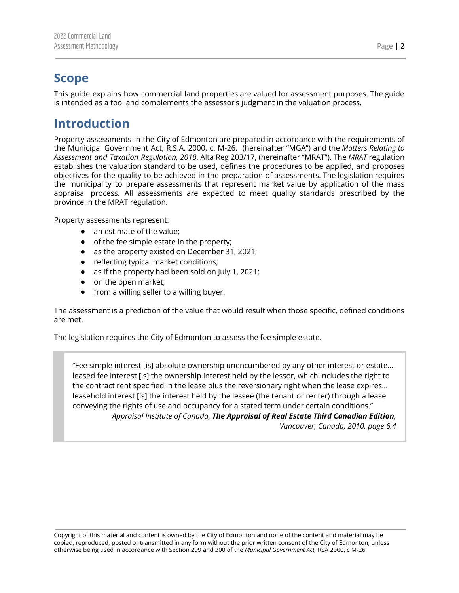# <span id="page-2-0"></span>**Scope**

This guide explains how commercial land properties are valued for assessment purposes. The guide is intended as a tool and complements the assessor's judgment in the valuation process.

# <span id="page-2-1"></span>**Introduction**

Property assessments in the City of Edmonton are prepared in accordance with the requirements of the Municipal Government Act, R.S.A. 2000, c. M-26, (hereinafter "MGA") and the *Matters Relating to Assessment and Taxation Regulation, 2018*, Alta Reg 203/17, (hereinafter "MRAT"). The *MRAT* regulation establishes the valuation standard to be used, defines the procedures to be applied, and proposes objectives for the quality to be achieved in the preparation of assessments. The legislation requires the municipality to prepare assessments that represent market value by application of the mass appraisal process. All assessments are expected to meet quality standards prescribed by the province in the MRAT regulation.

Property assessments represent:

- an estimate of the value;
- of the fee simple estate in the property;
- as the property existed on December 31, 2021;
- reflecting typical market conditions;
- as if the property had been sold on July 1, 2021;
- on the open market;
- from a willing seller to a willing buyer.

The assessment is a prediction of the value that would result when those specific, defined conditions are met.

The legislation requires the City of Edmonton to assess the fee simple estate.

"Fee simple interest [is] absolute ownership unencumbered by any other interest or estate… leased fee interest [is] the ownership interest held by the lessor, which includes the right to the contract rent specified in the lease plus the reversionary right when the lease expires… leasehold interest [is] the interest held by the lessee (the tenant or renter) through a lease conveying the rights of use and occupancy for a stated term under certain conditions." *Appraisal Institute of Canada, The Appraisal of Real Estate Third Canadian Edition, Vancouver, Canada, 2010, page 6.4*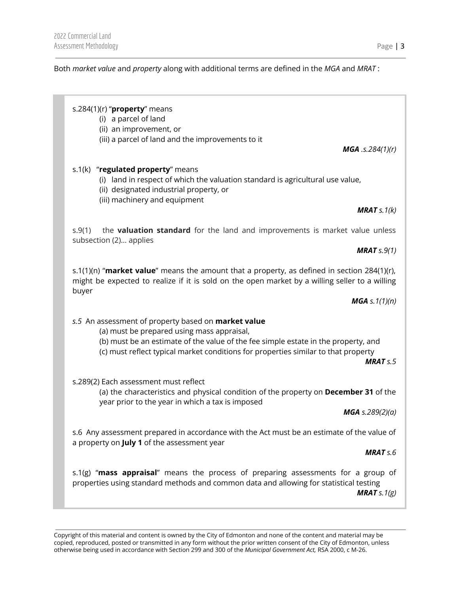Both *market value* and *property* along with additional terms are defined in the *MGA* and *MRAT* :

#### s.284(1)(r) "**property**" means

(i) a parcel of land

(ii) an improvement, or

(iii) a parcel of land and the improvements to it

*MGA .s.284(1)(r)*

## s.1(k) "**regulated property**" means

- (i) land in respect of which the valuation standard is agricultural use value,
- (ii) designated industrial property, or
- (iii) machinery and equipment

*MRAT s.1(k)*

s.9(1) the **valuation standard** for the land and improvements is market value unless subsection (2)… applies

*MRAT s.9(1)*

s.1(1)(n) "**market value**" means the amount that a property, as defined in section 284(1)(r), might be expected to realize if it is sold on the open market by a willing seller to a willing buyer

*MGA s.1(1)(n)*

*s.5* An assessment of property based on **market value**

- (a) must be prepared using mass appraisal,
- (b) must be an estimate of the value of the fee simple estate in the property, and
- (c) must reflect typical market conditions for properties similar to that property

*MRAT s.5*

s.289(2) Each assessment must reflect

(a) the characteristics and physical condition of the property on **December 31** of the year prior to the year in which a tax is imposed

*MGA s.289(2)(a)*

s.6 Any assessment prepared in accordance with the Act must be an estimate of the value of a property on **July 1** of the assessment year

*MRAT s.6*

s.1(g) "**mass appraisal**" means the process of preparing assessments for a group of properties using standard methods and common data and allowing for statistical testing *MRAT s.1(g)*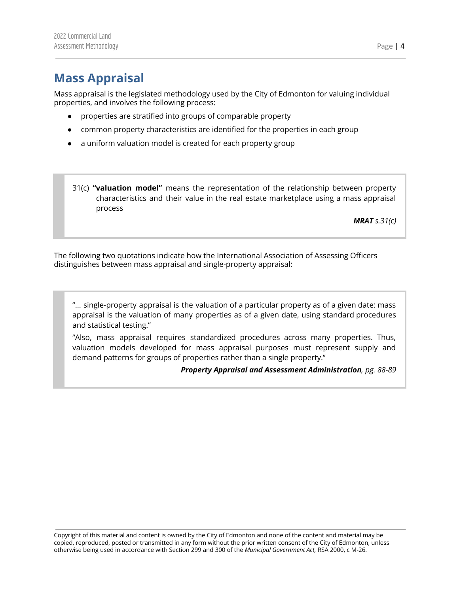# <span id="page-4-0"></span>**Mass Appraisal**

Mass appraisal is the legislated methodology used by the City of Edmonton for valuing individual properties, and involves the following process:

- properties are stratified into groups of comparable property
- common property characteristics are identified for the properties in each group
- a uniform valuation model is created for each property group
- 31(c) **"valuation model"** means the representation of the relationship between property characteristics and their value in the real estate marketplace using a mass appraisal process

*MRAT s.31(c)*

The following two quotations indicate how the International Association of Assessing Officers distinguishes between mass appraisal and single-property appraisal:

"... single-property appraisal is the valuation of a particular property as of a given date: mass appraisal is the valuation of many properties as of a given date, using standard procedures and statistical testing."

"Also, mass appraisal requires standardized procedures across many properties. Thus, valuation models developed for mass appraisal purposes must represent supply and demand patterns for groups of properties rather than a single property."

*Property Appraisal and Assessment Administration, pg. 88-89*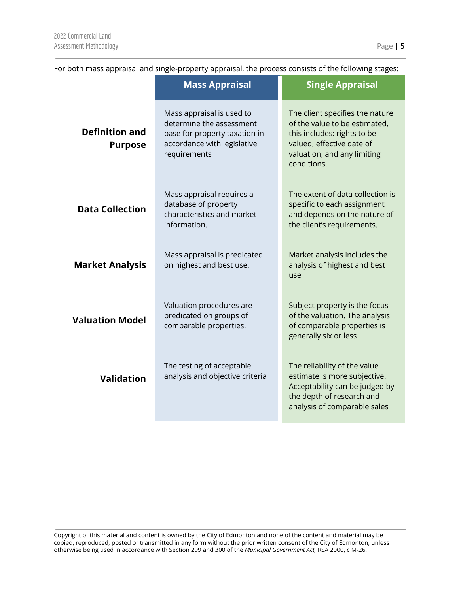|                                                                                                                           | <b>Mass Appraisal</b>                                                                                                                 | <b>Single Appraisal</b>                                                                                                                                                    |  |
|---------------------------------------------------------------------------------------------------------------------------|---------------------------------------------------------------------------------------------------------------------------------------|----------------------------------------------------------------------------------------------------------------------------------------------------------------------------|--|
| <b>Definition and</b><br><b>Purpose</b>                                                                                   | Mass appraisal is used to<br>determine the assessment<br>base for property taxation in<br>accordance with legislative<br>requirements | The client specifies the nature<br>of the value to be estimated,<br>this includes: rights to be<br>valued, effective date of<br>valuation, and any limiting<br>conditions. |  |
| Mass appraisal requires a<br>database of property<br><b>Data Collection</b><br>characteristics and market<br>information. |                                                                                                                                       | The extent of data collection is<br>specific to each assignment<br>and depends on the nature of<br>the client's requirements.                                              |  |
| <b>Market Analysis</b>                                                                                                    | Mass appraisal is predicated<br>on highest and best use.                                                                              | Market analysis includes the<br>analysis of highest and best<br>use                                                                                                        |  |
| <b>Valuation Model</b>                                                                                                    | Valuation procedures are<br>predicated on groups of<br>comparable properties.                                                         | Subject property is the focus<br>of the valuation. The analysis<br>of comparable properties is<br>generally six or less                                                    |  |
| <b>Validation</b>                                                                                                         | The testing of acceptable<br>analysis and objective criteria                                                                          | The reliability of the value<br>estimate is more subjective.<br>Acceptability can be judged by<br>the depth of research and<br>analysis of comparable sales                |  |
|                                                                                                                           |                                                                                                                                       |                                                                                                                                                                            |  |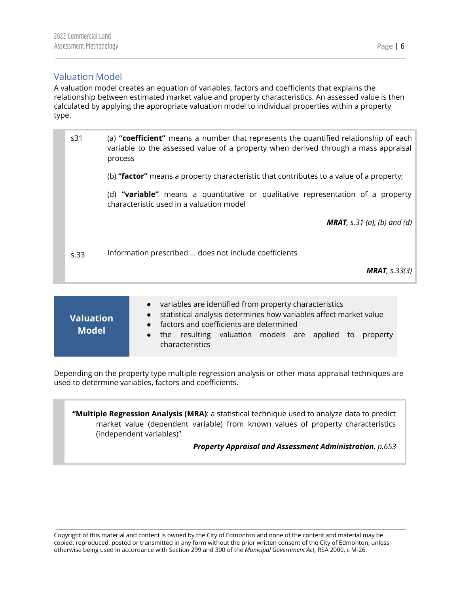# <span id="page-6-0"></span>Valuation Model

A valuation model creates an equation of variables, factors and coefficients that explains the relationship between estimated market value and property characteristics. An assessed value is then calculated by applying the appropriate valuation model to individual properties within a property type.

| s31  | (a) "coefficient" means a number that represents the quantified relationship of each<br>variable to the assessed value of a property when derived through a mass appraisal<br>process |
|------|---------------------------------------------------------------------------------------------------------------------------------------------------------------------------------------|
|      | (b) "factor" means a property characteristic that contributes to a value of a property;                                                                                               |
|      | (d) "variable" means a quantitative or qualitative representation of a property<br>characteristic used in a valuation model                                                           |
|      | <b>MRAT</b> , s.31 (a), (b) and (d)                                                                                                                                                   |
| s.33 | Information prescribed  does not include coefficients                                                                                                                                 |
|      | <b>MRAT</b> , $s.33(3)$                                                                                                                                                               |
|      |                                                                                                                                                                                       |

| <b>Valuation</b> | • variables are identified from property characteristics<br>statistical analysis determines how variables affect market value<br>$\bullet$<br>• factors and coefficients are determined |
|------------------|-----------------------------------------------------------------------------------------------------------------------------------------------------------------------------------------|
| <b>Model</b>     | • the resulting valuation models are applied to property<br>characteristics                                                                                                             |

Depending on the property type multiple regression analysis or other mass appraisal techniques are used to determine variables, factors and coefficients.

**"Multiple Regression Analysis (MRA)**: a statistical technique used to analyze data to predict market value (dependent variable) from known values of property characteristics (independent variables)"

*Property Appraisal and Assessment Administration, p.653*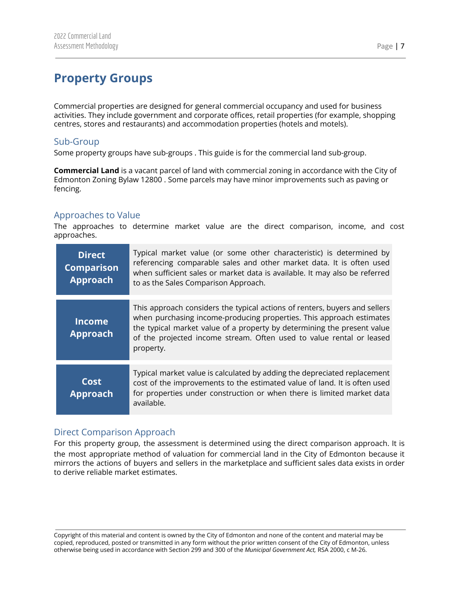# <span id="page-7-0"></span>**Property Groups**

Commercial properties are designed for general commercial occupancy and used for business activities. They include government and corporate offices, retail properties (for example, shopping centres, stores and restaurants) and accommodation properties (hotels and motels).

# <span id="page-7-1"></span>Sub-Group

Some property groups have sub-groups . This guide is for the commercial land sub-group.

**Commercial Land** is a vacant parcel of land with commercial zoning in accordance with the City of Edmonton Zoning Bylaw 12800 . Some parcels may have minor improvements such as paving or fencing.

# <span id="page-7-2"></span>Approaches to Value

The approaches to determine market value are the direct comparison, income, and cost approaches.

| <b>Direct</b><br><b>Comparison</b><br><b>Approach</b> | Typical market value (or some other characteristic) is determined by<br>referencing comparable sales and other market data. It is often used<br>when sufficient sales or market data is available. It may also be referred<br>to as the Sales Comparison Approach.                                                 |
|-------------------------------------------------------|--------------------------------------------------------------------------------------------------------------------------------------------------------------------------------------------------------------------------------------------------------------------------------------------------------------------|
| <b>Income</b><br><b>Approach</b>                      | This approach considers the typical actions of renters, buyers and sellers<br>when purchasing income-producing properties. This approach estimates<br>the typical market value of a property by determining the present value<br>of the projected income stream. Often used to value rental or leased<br>property. |
| Cost<br><b>Approach</b>                               | Typical market value is calculated by adding the depreciated replacement<br>cost of the improvements to the estimated value of land. It is often used<br>for properties under construction or when there is limited market data<br>available.                                                                      |

# <span id="page-7-3"></span>Direct Comparison Approach

For this property group, the assessment is determined using the direct comparison approach. It is the most appropriate method of valuation for commercial land in the City of Edmonton because it mirrors the actions of buyers and sellers in the marketplace and sufficient sales data exists in order to derive reliable market estimates.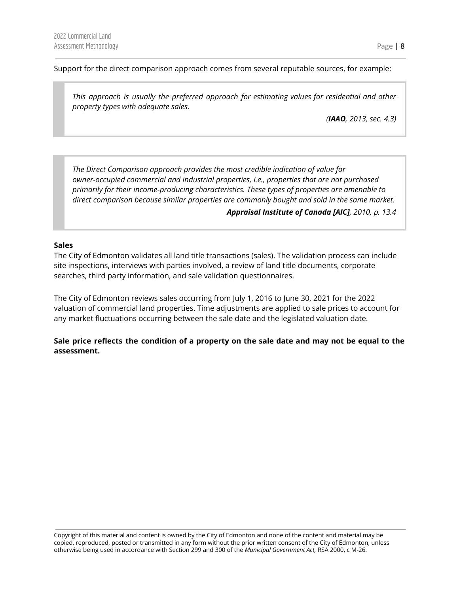Support for the direct comparison approach comes from several reputable sources, for example:

*This approach is usually the preferred approach for estimating values for residential and other property types with adequate sales.*

*(IAAO, 2013, sec. 4.3)*

*The Direct Comparison approach provides the most credible indication of value for owner-occupied commercial and industrial properties, i.e., properties that are not purchased primarily for their income-producing characteristics. These types of properties are amenable to direct comparison because similar properties are commonly bought and sold in the same market.*

*Appraisal Institute of Canada [AIC], 2010, p. 13.4*

#### **Sales**

The City of Edmonton validates all land title transactions (sales). The validation process can include site inspections, interviews with parties involved, a review of land title documents, corporate searches, third party information, and sale validation questionnaires.

The City of Edmonton reviews sales occurring from July 1, 2016 to June 30, 2021 for the 2022 valuation of commercial land properties. Time adjustments are applied to sale prices to account for any market fluctuations occurring between the sale date and the legislated valuation date.

Sale price reflects the condition of a property on the sale date and may not be equal to the **assessment.**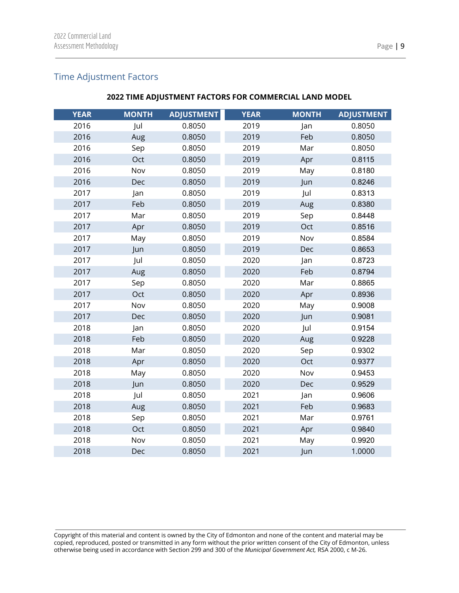# <span id="page-9-0"></span>Time Adjustment Factors

# **TIME ADJUSTMENT FACTORS FOR COMMERCIAL LAND MODEL**

| <b>YEAR</b> | <b>MONTH</b> | <b>ADJUSTMENT</b> | <b>YEAR</b> | <b>MONTH</b> | <b>ADJUSTMENT</b> |
|-------------|--------------|-------------------|-------------|--------------|-------------------|
| 2016        | Jul          | 0.8050            | 2019        | Jan          | 0.8050            |
| 2016        | Aug          | 0.8050            | 2019        | Feb          | 0.8050            |
| 2016        | Sep          | 0.8050            | 2019        | Mar          | 0.8050            |
| 2016        | Oct          | 0.8050            | 2019        | Apr          | 0.8115            |
| 2016        |              |                   |             |              |                   |
|             | Nov          | 0.8050            | 2019        | May          | 0.8180            |
| 2016        | Dec          | 0.8050            | 2019        | Jun          | 0.8246            |
| 2017        | Jan          | 0.8050            | 2019        | Jul          | 0.8313            |
| 2017        | Feb          | 0.8050            | 2019        | Aug          | 0.8380            |
| 2017        | Mar          | 0.8050            | 2019        | Sep          | 0.8448            |
| 2017        | Apr          | 0.8050            | 2019        | Oct          | 0.8516            |
| 2017        | May          | 0.8050            | 2019        | Nov          | 0.8584            |
| 2017        | Jun          | 0.8050            | 2019        | Dec          | 0.8653            |
| 2017        | Jul          | 0.8050            | 2020        | Jan          | 0.8723            |
| 2017        | Aug          | 0.8050            | 2020        | Feb          | 0.8794            |
| 2017        | Sep          | 0.8050            | 2020        | Mar          | 0.8865            |
| 2017        | Oct          | 0.8050            | 2020        | Apr          | 0.8936            |
| 2017        | Nov          | 0.8050            | 2020        | May          | 0.9008            |
| 2017        | Dec          | 0.8050            | 2020        | Jun          | 0.9081            |
| 2018        | Jan          | 0.8050            | 2020        | Jul          | 0.9154            |
| 2018        | Feb          | 0.8050            | 2020        | Aug          | 0.9228            |
| 2018        | Mar          | 0.8050            | 2020        | Sep          | 0.9302            |
| 2018        | Apr          | 0.8050            | 2020        | Oct          | 0.9377            |
| 2018        | May          | 0.8050            | 2020        | Nov          | 0.9453            |
| 2018        | Jun          | 0.8050            | 2020        | Dec          | 0.9529            |
| 2018        | Jul          | 0.8050            | 2021        | Jan          | 0.9606            |
| 2018        | Aug          | 0.8050            | 2021        | Feb          | 0.9683            |
| 2018        | Sep          | 0.8050            | 2021        | Mar          | 0.9761            |
| 2018        | Oct          | 0.8050            | 2021        | Apr          | 0.9840            |
| 2018        | Nov          | 0.8050            | 2021        | May          | 0.9920            |
| 2018        | Dec          | 0.8050            | 2021        | Jun          | 1.0000            |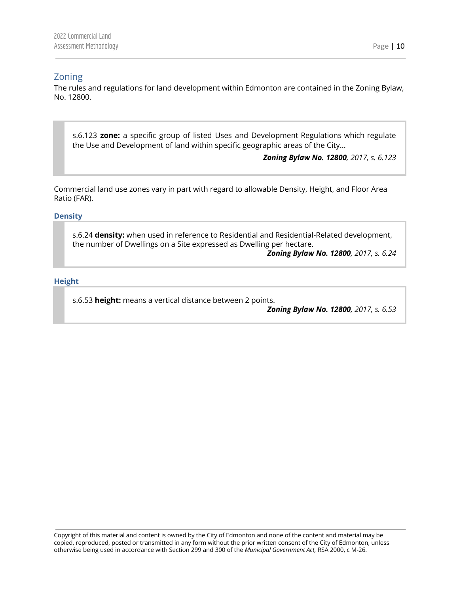# <span id="page-10-0"></span>Zoning

The rules and regulations for land development within Edmonton are contained in the Zoning Bylaw, No. 12800.

s.6.123 **zone:** a specific group of listed Uses and Development Regulations which regulate the Use and Development of land within specific geographic areas of the City...

*Zoning Bylaw No. 12800, 2017, s. 6.123*

Commercial land use zones vary in part with regard to allowable Density, Height, and Floor Area Ratio (FAR).

<span id="page-10-1"></span>**Density**

s.6.24 **density:** when used in reference to Residential and Residential-Related development, the number of Dwellings on a Site expressed as Dwelling per hectare.

*Zoning Bylaw No. 12800, 2017, s. 6.24*

#### <span id="page-10-2"></span>**Height**

s.6.53 **height:** means a vertical distance between 2 points.

*Zoning Bylaw No. 12800, 2017, s. 6.53*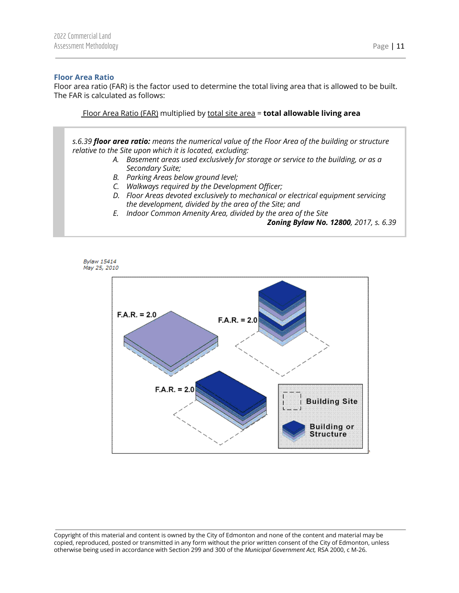#### <span id="page-11-0"></span>**Floor Area Ratio**

Floor area ratio (FAR) is the factor used to determine the total living area that is allowed to be built. The FAR is calculated as follows:

Floor Area Ratio (FAR) multiplied by total site area = **total allowable living area**

*s.6.39 floor area ratio: means the numerical value of the Floor Area of the building or structure relative to the Site upon which it is located, excluding:*

- *A. Basement areas used exclusively for storage or service to the building, or as a Secondary Suite;*
- *B. Parking Areas below ground level;*
- *C. Walkways required by the Development Officer;*
- *D. Floor Areas devoted exclusively to mechanical or electrical equipment servicing the development, divided by the area of the Site; and*
- *E. Indoor Common Amenity Area, divided by the area of the Site*

#### *Zoning Bylaw No. 12800, 2017, s. 6.39*



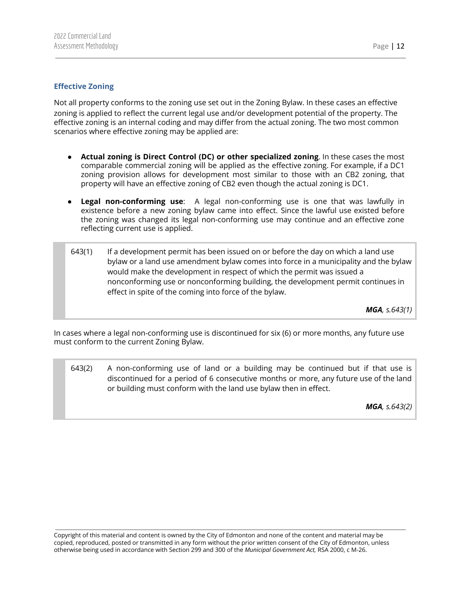#### <span id="page-12-0"></span>**Effective Zoning**

Not all property conforms to the zoning use set out in the Zoning Bylaw. In these cases an effective zoning is applied to reflect the current legal use and/or development potential of the property. The effective zoning is an internal coding and may differ from the actual zoning. The two most common scenarios where effective zoning may be applied are:

- **Actual zoning is Direct Control (DC) or other specialized zoning**. In these cases the most comparable commercial zoning will be applied as the effective zoning. For example, if a DC1 zoning provision allows for development most similar to those with an CB2 zoning, that property will have an effective zoning of CB2 even though the actual zoning is DC1.
- **Legal non-conforming use**: A legal non-conforming use is one that was lawfully in existence before a new zoning bylaw came into effect. Since the lawful use existed before the zoning was changed its legal non-conforming use may continue and an effective zone reflecting current use is applied.
- 643(1) If a development permit has been issued on or before the day on which a land use bylaw or a land use amendment bylaw comes into force in a municipality and the bylaw would make the development in respect of which the permit was issued a nonconforming use or nonconforming building, the development permit continues in effect in spite of the coming into force of the bylaw.

*MGA, s.643(1)*

In cases where a legal non-conforming use is discontinued for six (6) or more months, any future use must conform to the current Zoning Bylaw.

643(2) A non-conforming use of land or a building may be continued but if that use is discontinued for a period of 6 consecutive months or more, any future use of the land or building must conform with the land use bylaw then in effect.

*MGA, s.643(2)*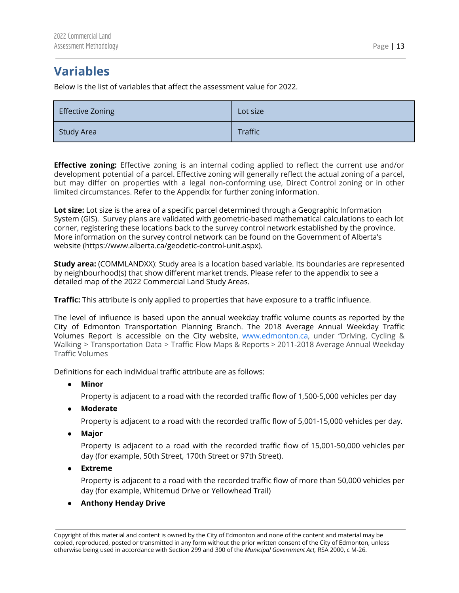# <span id="page-13-0"></span>**Variables**

Below is the list of variables that affect the assessment value for 2022.

| Effective Zoning  | Lot size |
|-------------------|----------|
| <b>Study Area</b> | Traffic  |

**Effective zoning:** Effective zoning is an internal coding applied to reflect the current use and/or development potential of a parcel. Effective zoning will generally reflect the actual zoning of a parcel, but may differ on properties with a legal non-conforming use, Direct Control zoning or in other limited circumstances. Refer to the Appendix for further zoning information.

**Lot size:** Lot size is the area of a specific parcel determined through a Geographic Information System (GIS). Survey plans are validated with geometric-based mathematical calculations to each lot corner, registering these locations back to the survey control network established by the province. More information on the survey control network can be found on the Government of Alberta's website (https://www.alberta.ca/geodetic-control-unit.aspx).

**Study area:** (COMMLANDXX): Study area is a location based variable. Its boundaries are represented by neighbourhood(s) that show different market trends. Please refer to the appendix to see a detailed map of the 2022 Commercial Land Study Areas.

**Traffic:** This attribute is only applied to properties that have exposure to a traffic influence.

The level of influence is based upon the annual weekday traffic volume counts as reported by the City of Edmonton Transportation Planning Branch. The 2018 Average Annual Weekday Traffic Volumes Report is accessible on the City website, [www.edmonton.ca,](http://www.edmonton.ca) under "Driving, Cycling & Walking > Transportation Data > Traffic Flow Maps & Reports > 2011-2018 Average Annual Weekday Traffic Volumes

Definitions for each individual traffic attribute are as follows:

**● Minor**

Property is adjacent to a road with the recorded traffic flow of 1,500-5,000 vehicles per day

**● Moderate**

Property is adjacent to a road with the recorded traffic flow of 5,001-15,000 vehicles per day.

**● Major**

Property is adjacent to a road with the recorded traffic flow of 15,001-50,000 vehicles per day (for example, 50th Street, 170th Street or 97th Street).

**● Extreme**

Property is adjacent to a road with the recorded traffic flow of more than 50,000 vehicles per day (for example, Whitemud Drive or Yellowhead Trail)

**● Anthony Henday Drive**

Copyright of this material and content is owned by the City of Edmonton and none of the content and material may be copied, reproduced, posted or transmitted in any form without the prior written consent of the City of Edmonton, unless otherwise being used in accordance with Section 299 and 300 of the *Municipal Government Act,* RSA 2000, c M-26.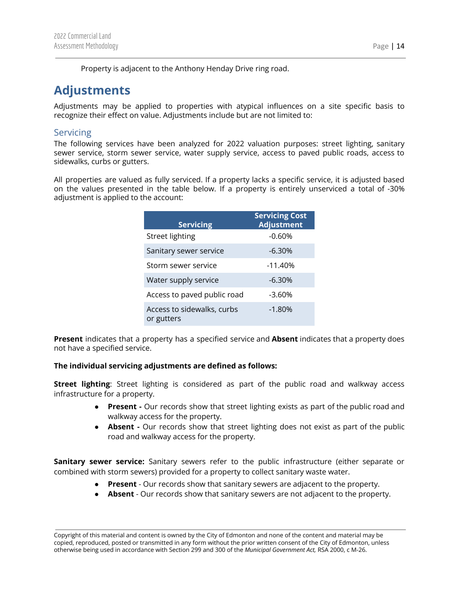Property is adjacent to the Anthony Henday Drive ring road.

# <span id="page-14-0"></span>**Adjustments**

Adjustments may be applied to properties with atypical influences on a site specific basis to recognize their effect on value. Adjustments include but are not limited to:

# <span id="page-14-1"></span>**Servicing**

The following services have been analyzed for 2022 valuation purposes: street lighting, sanitary sewer service, storm sewer service, water supply service, access to paved public roads, access to sidewalks, curbs or gutters.

All properties are valued as fully serviced. If a property lacks a specific service, it is adjusted based on the values presented in the table below. If a property is entirely unserviced a total of -30% adjustment is applied to the account:

| <b>Servicing</b>                         | <b>Servicing Cost</b><br><b>Adjustment</b> |
|------------------------------------------|--------------------------------------------|
| <b>Street lighting</b>                   | $-0.60%$                                   |
| Sanitary sewer service                   | $-6.30%$                                   |
| Storm sewer service                      | $-11.40%$                                  |
| Water supply service                     | $-6.30%$                                   |
| Access to paved public road              | -3.60%                                     |
| Access to sidewalks, curbs<br>or gutters | $-1.80%$                                   |

**Present** indicates that a property has a specified service and **Absent** indicates that a property does not have a specified service.

#### **The individual servicing adjustments are defined as follows:**

**Street lighting**: Street lighting is considered as part of the public road and walkway access infrastructure for a property.

- **Present -** Our records show that street lighting exists as part of the public road and walkway access for the property.
- **Absent -** Our records show that street lighting does not exist as part of the public road and walkway access for the property.

**Sanitary sewer service:** Sanitary sewers refer to the public infrastructure (either separate or combined with storm sewers) provided for a property to collect sanitary waste water.

- **Present** Our records show that sanitary sewers are adjacent to the property.
- **Absent** Our records show that sanitary sewers are not adjacent to the property.

Copyright of this material and content is owned by the City of Edmonton and none of the content and material may be copied, reproduced, posted or transmitted in any form without the prior written consent of the City of Edmonton, unless otherwise being used in accordance with Section 299 and 300 of the *Municipal Government Act,* RSA 2000, c M-26.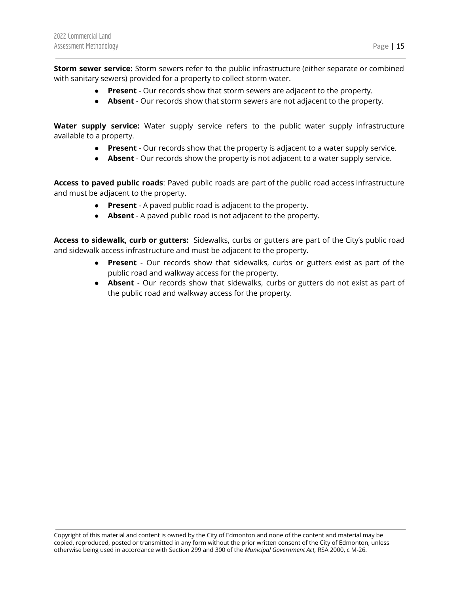**Storm sewer service:** Storm sewers refer to the public infrastructure (either separate or combined with sanitary sewers) provided for a property to collect storm water.

- **Present** Our records show that storm sewers are adjacent to the property.
- **Absent** Our records show that storm sewers are not adjacent to the property.

**Water supply service:** Water supply service refers to the public water supply infrastructure available to a property.

- **Present** Our records show that the property is adjacent to a water supply service.
- **Absent** Our records show the property is not adjacent to a water supply service.

**Access to paved public roads**: Paved public roads are part of the public road access infrastructure and must be adjacent to the property.

- **Present** A paved public road is adjacent to the property.
- **Absent** A paved public road is not adjacent to the property.

**Access to sidewalk, curb or gutters:** Sidewalks, curbs or gutters are part of the City's public road and sidewalk access infrastructure and must be adjacent to the property.

- **Present** Our records show that sidewalks, curbs or gutters exist as part of the public road and walkway access for the property.
- **Absent** Our records show that sidewalks, curbs or gutters do not exist as part of the public road and walkway access for the property.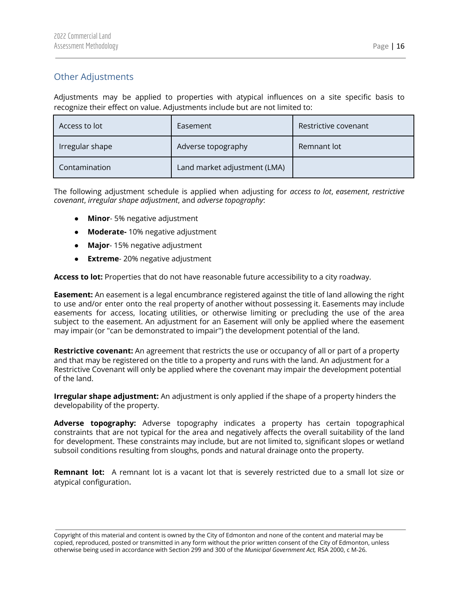# <span id="page-16-0"></span>Other Adjustments

Adjustments may be applied to properties with atypical influences on a site specific basis to recognize their effect on value. Adjustments include but are not limited to:

| Access to lot   | Easement                     | Restrictive covenant |
|-----------------|------------------------------|----------------------|
| Irregular shape | Adverse topography           | Remnant lot          |
| Contamination   | Land market adjustment (LMA) |                      |

The following adjustment schedule is applied when adjusting for *access to lot*, *easement*, *restrictive covenant*, *irregular shape adjustment*, and *adverse topography*:

- **Minor** 5% negative adjustment
- **Moderate-** 10% negative adjustment
- **Major** 15% negative adjustment
- **Extreme** 20% negative adjustment

**Access to lot:** Properties that do not have reasonable future accessibility to a city roadway.

**Easement:** An easement is a legal encumbrance registered against the title of land allowing the right to use and/or enter onto the real property of another without possessing it. Easements may include easements for access, locating utilities, or otherwise limiting or precluding the use of the area subject to the easement. An adjustment for an Easement will only be applied where the easement may impair (or "can be demonstrated to impair") the development potential of the land.

**Restrictive covenant:** An agreement that restricts the use or occupancy of all or part of a property and that may be registered on the title to a property and runs with the land. An adjustment for a Restrictive Covenant will only be applied where the covenant may impair the development potential of the land.

**Irregular shape adjustment:** An adjustment is only applied if the shape of a property hinders the developability of the property.

**Adverse topography:** Adverse topography indicates a property has certain topographical constraints that are not typical for the area and negatively affects the overall suitability of the land for development. These constraints may include, but are not limited to, significant slopes or wetland subsoil conditions resulting from sloughs, ponds and natural drainage onto the property.

**Remnant lot:** A remnant lot is a vacant lot that is severely restricted due to a small lot size or atypical configuration**.**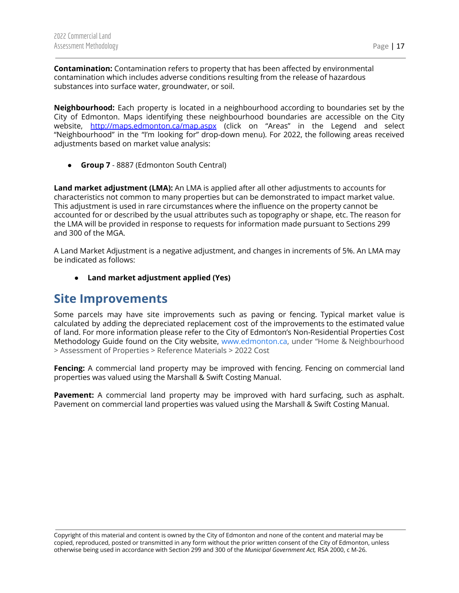**Contamination:** Contamination refers to property that has been affected by environmental contamination which includes adverse conditions resulting from the release of hazardous substances into surface water, groundwater, or soil.

**Neighbourhood:** Each property is located in a neighbourhood according to boundaries set by the City of Edmonton. Maps identifying these neighbourhood boundaries are accessible on the City website, <http://maps.edmonton.ca/map.aspx> (click on "Areas" in the Legend and select "Neighbourhood" in the "I'm looking for" drop-down menu). For 2022, the following areas received adjustments based on market value analysis:

**● Group 7** - 8887 (Edmonton South Central)

**Land market adjustment (LMA):** An LMA is applied after all other adjustments to accounts for characteristics not common to many properties but can be demonstrated to impact market value. This adjustment is used in rare circumstances where the influence on the property cannot be accounted for or described by the usual attributes such as topography or shape, etc. The reason for the LMA will be provided in response to requests for information made pursuant to Sections 299 and 300 of the MGA.

A Land Market Adjustment is a negative adjustment, and changes in increments of 5%. An LMA may be indicated as follows:

**● Land market adjustment applied (Yes)**

# <span id="page-17-0"></span>**Site Improvements**

Some parcels may have site improvements such as paving or fencing. Typical market value is calculated by adding the depreciated replacement cost of the improvements to the estimated value of land. For more information please refer to the City of Edmonton's Non-Residential Properties Cost Methodology Guide found on the City website, [www.edmonton.ca](http://www.edmonton.ca), under "Home & Neighbourhood > Assessment of Properties > Reference Materials > 2022 Cost

**Fencing:** A commercial land property may be improved with fencing. Fencing on commercial land properties was valued using the Marshall & Swift Costing Manual.

**Pavement:** A commercial land property may be improved with hard surfacing, such as asphalt. Pavement on commercial land properties was valued using the Marshall & Swift Costing Manual.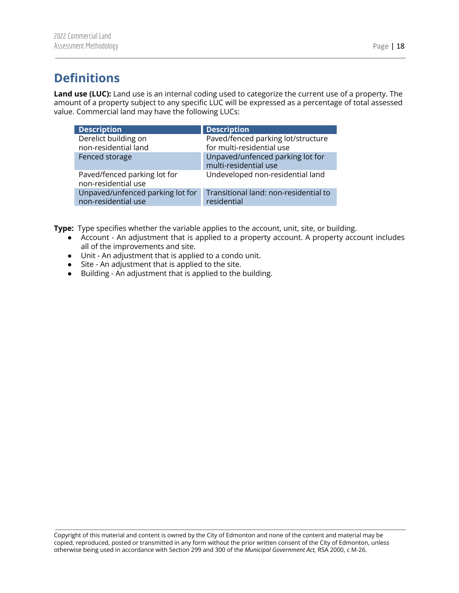<span id="page-18-0"></span>**Land use (LUC):** Land use is an internal coding used to categorize the current use of a property. The amount of a property subject to any specific LUC will be expressed as a percentage of total assessed value. Commercial land may have the following LUCs:

| <b>Description</b>                                      | <b>Description</b>                                        |
|---------------------------------------------------------|-----------------------------------------------------------|
| Derelict building on                                    | Paved/fenced parking lot/structure                        |
| non-residential land                                    | for multi-residential use                                 |
| Fenced storage                                          | Unpaved/unfenced parking lot for<br>multi-residential use |
| Paved/fenced parking lot for<br>non-residential use     | Undeveloped non-residential land                          |
| Unpaved/unfenced parking lot for<br>non-residential use | Transitional land: non-residential to<br>residential      |

**Type:** Type specifies whether the variable applies to the account, unit, site, or building.

- Account An adjustment that is applied to a property account. A property account includes all of the improvements and site.
- Unit An adjustment that is applied to a condo unit.
- Site An adjustment that is applied to the site.
- Building An adjustment that is applied to the building.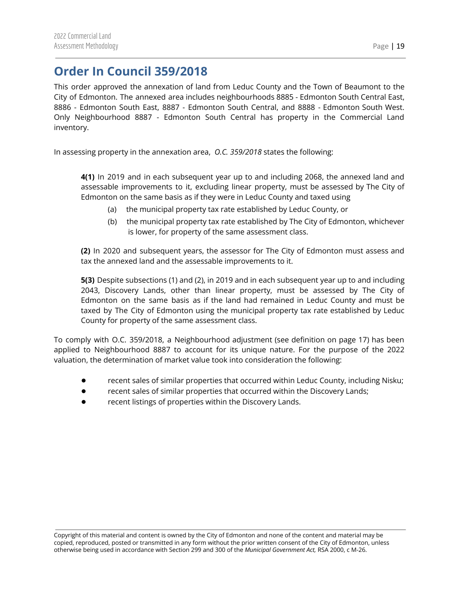# <span id="page-19-0"></span>**Order In Council 359/2018**

This order approved the annexation of land from Leduc County and the Town of Beaumont to the City of Edmonton. The annexed area includes neighbourhoods 8885 - Edmonton South Central East, 8886 - Edmonton South East, 8887 - Edmonton South Central, and 8888 - Edmonton South West. Only Neighbourhood 8887 - Edmonton South Central has property in the Commercial Land inventory.

In assessing property in the annexation area, *O.C. 359/2018* states the following:

**4(1)** In 2019 and in each subsequent year up to and including 2068, the annexed land and assessable improvements to it, excluding linear property, must be assessed by The City of Edmonton on the same basis as if they were in Leduc County and taxed using

- (a) the municipal property tax rate established by Leduc County, or
- (b) the municipal property tax rate established by The City of Edmonton, whichever is lower, for property of the same assessment class.

**(2)** In 2020 and subsequent years, the assessor for The City of Edmonton must assess and tax the annexed land and the assessable improvements to it.

**5(3)** Despite subsections (1) and (2), in 2019 and in each subsequent year up to and including 2043, Discovery Lands, other than linear property, must be assessed by The City of Edmonton on the same basis as if the land had remained in Leduc County and must be taxed by The City of Edmonton using the municipal property tax rate established by Leduc County for property of the same assessment class.

To comply with O.C. 359/2018, a Neighbourhood adjustment (see definition on page 17) has been applied to Neighbourhood 8887 to account for its unique nature. For the purpose of the 2022 valuation, the determination of market value took into consideration the following:

- recent sales of similar properties that occurred within Leduc County, including Nisku;
- recent sales of similar properties that occurred within the Discovery Lands;
- recent listings of properties within the Discovery Lands.

Copyright of this material and content is owned by the City of Edmonton and none of the content and material may be copied, reproduced, posted or transmitted in any form without the prior written consent of the City of Edmonton, unless otherwise being used in accordance with Section 299 and 300 of the *Municipal Government Act,* RSA 2000, c M-26.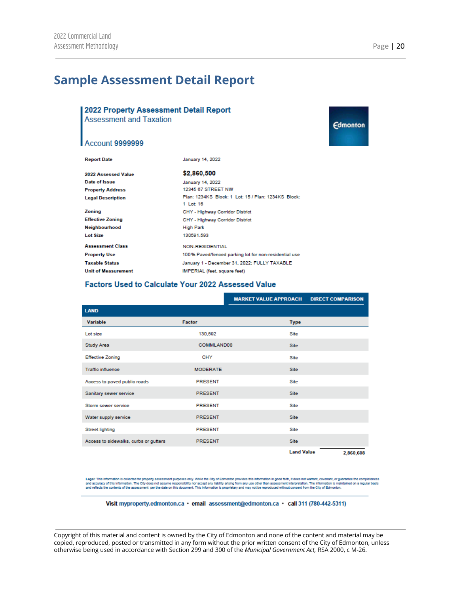**Edmonton** 

# <span id="page-20-0"></span>**Sample Assessment Detail Report**

# 2022 Property Assessment Detail Report **Assessment and Taxation**

#### **Account 9999999**

| <b>Report Date</b>         | January 14, 2022                                                 |
|----------------------------|------------------------------------------------------------------|
| 2022 Assessed Value        | \$2,860,500                                                      |
| Date of Issue              | January 14, 2022                                                 |
| <b>Property Address</b>    | 12345 67 STREET NW                                               |
| <b>Legal Description</b>   | Plan: 1234KS Block: 1 Lot: 15 / Plan: 1234KS Block:<br>1 Lot: 16 |
| Zoning                     | CHY - Highway Corridor District                                  |
| <b>Effective Zoning</b>    | CHY - Highway Corridor District                                  |
| <b>Neighbourhood</b>       | <b>High Park</b>                                                 |
| <b>Lot Size</b>            | 130591.593                                                       |
| <b>Assessment Class</b>    | NON-RESIDENTIAL                                                  |
| <b>Property Use</b>        | 100% Paved/fenced parking lot for non-residential use            |
| <b>Taxable Status</b>      | January 1 - December 31, 2022; FULLY TAXABLE                     |
| <b>Unit of Measurement</b> | IMPERIAL (feet, square feet)                                     |

#### Factors Used to Calculate Your 2022 Assessed Value

|                                       |                 | <b>MARKET VALUE APPROACH</b> | <b>DIRECT COMPARISON</b> |
|---------------------------------------|-----------------|------------------------------|--------------------------|
| <b>LAND</b>                           |                 |                              |                          |
| <b>Variable</b>                       | Factor          | <b>Type</b>                  |                          |
| Lot size                              | 130,592         | Site                         |                          |
| <b>Study Area</b>                     | COMMLAND08      | Site                         |                          |
| <b>Effective Zoning</b>               | <b>CHY</b>      | Site                         |                          |
| <b>Traffic influence</b>              | <b>MODERATE</b> | Site                         |                          |
| Access to paved public roads          | <b>PRESENT</b>  | Site                         |                          |
| Sanitary sewer service                | <b>PRESENT</b>  | <b>Site</b>                  |                          |
| Storm sewer service                   | <b>PRESENT</b>  | Site                         |                          |
| Water supply service                  | <b>PRESENT</b>  | <b>Site</b>                  |                          |
| <b>Street lighting</b>                | <b>PRESENT</b>  | Site                         |                          |
| Access to sidewalks, curbs or gutters | <b>PRESENT</b>  | Site                         |                          |
|                                       |                 | <b>Land Value</b>            | 2,860,608                |

Legal: This information is collected for property assessment purposes only. While the City of Edmonton provides this information in good faith, it does not warrant, covenant, or guarantee the completeness<br>and accuracy of t

Visit myproperty.edmonton.ca · email assessment@edmonton.ca · call 311 (780-442-5311)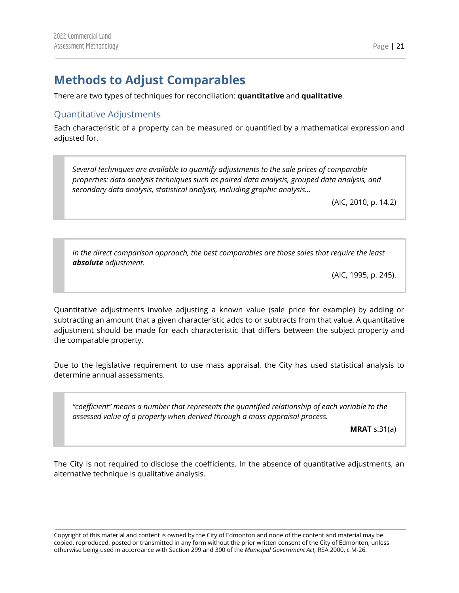# <span id="page-21-0"></span>**Methods to Adjust Comparables**

There are two types of techniques for reconciliation: **quantitative** and **qualitative**.

# <span id="page-21-1"></span>Quantitative Adjustments

Each characteristic of a property can be measured or quantified by a mathematical expression and adjusted for.

*Several techniques are available to quantify adjustments to the sale prices of comparable properties: data analysis techniques such as paired data analysis, grouped data analysis, and secondary data analysis, statistical analysis, including graphic analysis…*

(AIC, 2010, p. 14.2)

*In the direct comparison approach, the best comparables are those sales that require the least absolute adjustment.*

(AIC, 1995, p. 245).

Quantitative adjustments involve adjusting a known value (sale price for example) by adding or subtracting an amount that a given characteristic adds to or subtracts from that value. A quantitative adjustment should be made for each characteristic that differs between the subject property and the comparable property.

Due to the legislative requirement to use mass appraisal, the City has used statistical analysis to determine annual assessments.

*"coefficient" means a number that represents the quantified relationship of each variable to the assessed value of a property when derived through a mass appraisal process.*

**MRAT** s.31(a)

The City is not required to disclose the coefficients. In the absence of quantitative adjustments, an alternative technique is qualitative analysis.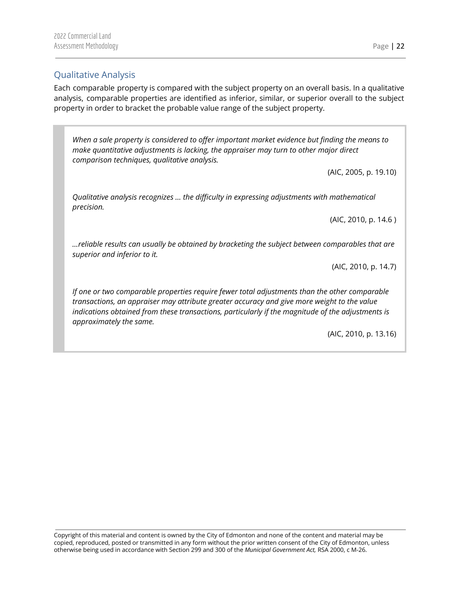# <span id="page-22-0"></span>Qualitative Analysis

Each comparable property is compared with the subject property on an overall basis. In a qualitative analysis, comparable properties are identified as inferior, similar, or superior overall to the subject property in order to bracket the probable value range of the subject property.

*When a sale property is considered to offer important market evidence but finding the means to make quantitative adjustments is lacking, the appraiser may turn to other major direct comparison techniques, qualitative analysis.*

(AIC, 2005, p. 19.10)

*Qualitative analysis recognizes … the difficulty in expressing adjustments with mathematical precision.*

(AIC, 2010, p. 14.6 )

*…reliable results can usually be obtained by bracketing the subject between comparables that are superior and inferior to it.*

(AIC, 2010, p. 14.7)

*If one or two comparable properties require fewer total adjustments than the other comparable transactions, an appraiser may attribute greater accuracy and give more weight to the value indications obtained from these transactions, particularly if the magnitude of the adjustments is approximately the same.*

(AIC, 2010, p. 13.16)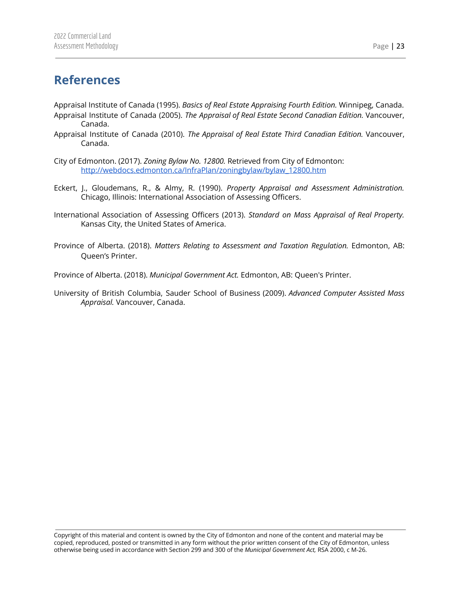# <span id="page-23-0"></span>**References**

Appraisal Institute of Canada (1995). *Basics of Real Estate Appraising Fourth Edition.* Winnipeg, Canada. Appraisal Institute of Canada (2005). *The Appraisal of Real Estate Second Canadian Edition.* Vancouver, Canada.

- Appraisal Institute of Canada (2010). *The Appraisal of Real Estate Third Canadian Edition.* Vancouver, Canada.
- City of Edmonton. (2017). *Zoning Bylaw No. 12800.* Retrieved from City of Edmonton: [http://webdocs.edmonton.ca/InfraPlan/zoningbylaw/bylaw\\_12800.htm](http://webdocs.edmonton.ca/InfraPlan/zoningbylaw/bylaw_12800.htm)
- Eckert, J., Gloudemans, R., & Almy, R. (1990). *Property Appraisal and Assessment Administration.* Chicago, Illinois: International Association of Assessing Officers.
- International Association of Assessing Officers (2013). *Standard on Mass Appraisal of Real Property.* Kansas City, the United States of America.
- Province of Alberta. (2018). *Matters Relating to Assessment and Taxation Regulation.* Edmonton, AB: Queen's Printer.

Province of Alberta. (2018). *Municipal Government Act.* Edmonton, AB: Queen's Printer.

University of British Columbia, Sauder School of Business (2009). *Advanced Computer Assisted Mass Appraisal.* Vancouver, Canada.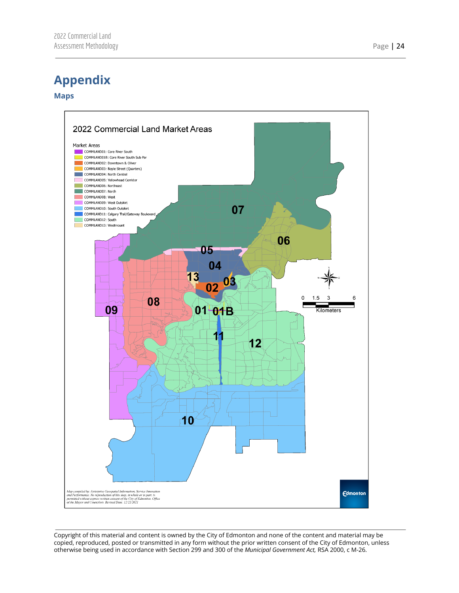# <span id="page-24-0"></span>**Appendix**

#### <span id="page-24-1"></span>**Maps**

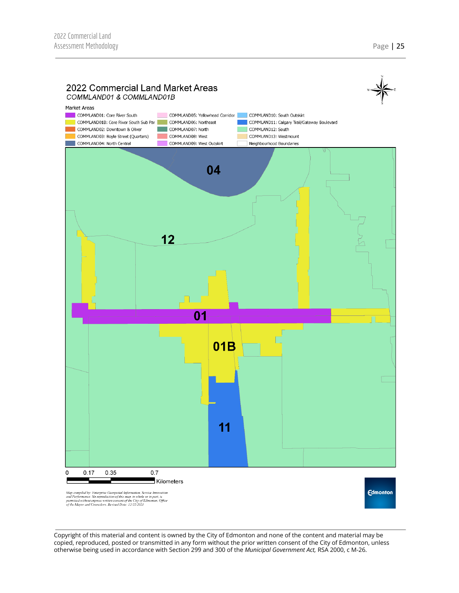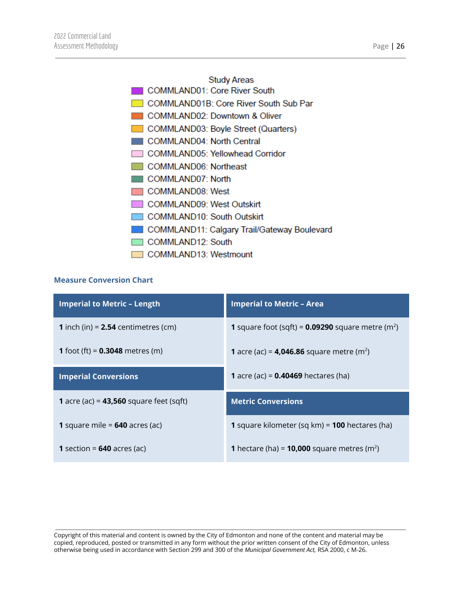#### **Study Areas**

COMMLAND01: Core River South

COMMLAND01B: Core River South Sub Par

COMMLAND02: Downtown & Oliver

COMMLAND03: Boyle Street (Quarters)

COMMLAND04: North Central

COMMLAND05: Yellowhead Corridor

COMMLAND06: Northeast

COMMLAND07: North

COMMLAND08: West

COMMLAND09: West Outskirt

COMMLAND10: South Outskirt

COMMLAND11: Calgary Trail/Gateway Boulevard

COMMLAND12: South

COMMLAND13: Westmount

## <span id="page-26-0"></span>**Measure Conversion Chart**

| <b>Imperial to Metric - Length</b>               | <b>Imperial to Metric - Area</b>                                       |
|--------------------------------------------------|------------------------------------------------------------------------|
| <b>1</b> inch (in) = $2.54$ centimetres (cm)     | <b>1</b> square foot (sqft) = $0.09290$ square metre (m <sup>2</sup> ) |
| <b>1</b> foot (ft) = $0.3048$ metres (m)         | <b>1</b> acre (ac) = <b>4,046.86</b> square metre (m <sup>2</sup> )    |
| <b>Imperial Conversions</b>                      | <b>1</b> acre (ac) = $0.40469$ hectares (ha)                           |
| <b>1</b> acre (ac) = $43,560$ square feet (sqft) | <b>Metric Conversions</b>                                              |
| 1 square mile = $640$ acres (ac)                 | 1 square kilometer (sq km) = 100 hectares (ha)                         |
| <b>1</b> section = $640$ acres (ac)              | <b>1</b> hectare (ha) = <b>10,000</b> square metres (m <sup>2</sup> )  |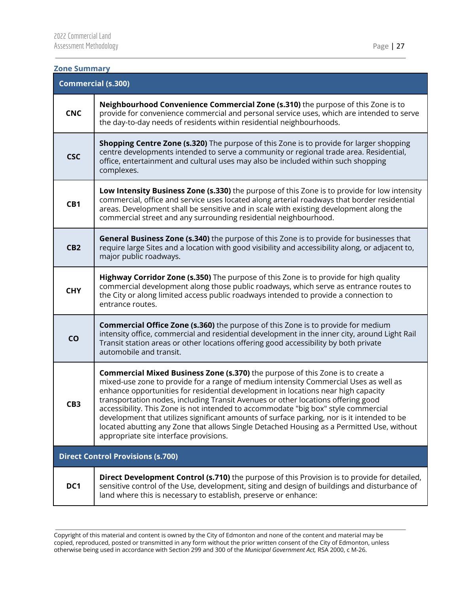#### <span id="page-27-0"></span>**Zone Summary**

| <b>Commercial (s.300)</b>                |                                                                                                                                                                                                                                                                                                                                                                                                                                                                                                                                                                                                                                                                                   |  |
|------------------------------------------|-----------------------------------------------------------------------------------------------------------------------------------------------------------------------------------------------------------------------------------------------------------------------------------------------------------------------------------------------------------------------------------------------------------------------------------------------------------------------------------------------------------------------------------------------------------------------------------------------------------------------------------------------------------------------------------|--|
| <b>CNC</b>                               | Neighbourhood Convenience Commercial Zone (s.310) the purpose of this Zone is to<br>provide for convenience commercial and personal service uses, which are intended to serve<br>the day-to-day needs of residents within residential neighbourhoods.                                                                                                                                                                                                                                                                                                                                                                                                                             |  |
| <b>CSC</b>                               | <b>Shopping Centre Zone (s.320)</b> The purpose of this Zone is to provide for larger shopping<br>centre developments intended to serve a community or regional trade area. Residential,<br>office, entertainment and cultural uses may also be included within such shopping<br>complexes.                                                                                                                                                                                                                                                                                                                                                                                       |  |
| CB1                                      | Low Intensity Business Zone (s.330) the purpose of this Zone is to provide for low intensity<br>commercial, office and service uses located along arterial roadways that border residential<br>areas. Development shall be sensitive and in scale with existing development along the<br>commercial street and any surrounding residential neighbourhood.                                                                                                                                                                                                                                                                                                                         |  |
| CB <sub>2</sub>                          | General Business Zone (s.340) the purpose of this Zone is to provide for businesses that<br>require large Sites and a location with good visibility and accessibility along, or adjacent to,<br>major public roadways.                                                                                                                                                                                                                                                                                                                                                                                                                                                            |  |
| <b>CHY</b>                               | Highway Corridor Zone (s.350) The purpose of this Zone is to provide for high quality<br>commercial development along those public roadways, which serve as entrance routes to<br>the City or along limited access public roadways intended to provide a connection to<br>entrance routes.                                                                                                                                                                                                                                                                                                                                                                                        |  |
| CO                                       | <b>Commercial Office Zone (s.360)</b> the purpose of this Zone is to provide for medium<br>intensity office, commercial and residential development in the inner city, around Light Rail<br>Transit station areas or other locations offering good accessibility by both private<br>automobile and transit.                                                                                                                                                                                                                                                                                                                                                                       |  |
| CB <sub>3</sub>                          | <b>Commercial Mixed Business Zone (s.370)</b> the purpose of this Zone is to create a<br>mixed-use zone to provide for a range of medium intensity Commercial Uses as well as<br>enhance opportunities for residential development in locations near high capacity<br>transportation nodes, including Transit Avenues or other locations offering good<br>accessibility. This Zone is not intended to accommodate "big box" style commercial<br>development that utilizes significant amounts of surface parking, nor is it intended to be<br>located abutting any Zone that allows Single Detached Housing as a Permitted Use, without<br>appropriate site interface provisions. |  |
| <b>Direct Control Provisions (s.700)</b> |                                                                                                                                                                                                                                                                                                                                                                                                                                                                                                                                                                                                                                                                                   |  |
| DC1                                      | Direct Development Control (s.710) the purpose of this Provision is to provide for detailed,<br>sensitive control of the Use, development, siting and design of buildings and disturbance of<br>land where this is necessary to establish, preserve or enhance:                                                                                                                                                                                                                                                                                                                                                                                                                   |  |

Copyright of this material and content is owned by the City of Edmonton and none of the content and material may be copied, reproduced, posted or transmitted in any form without the prior written consent of the City of Edmonton, unless otherwise being used in accordance with Section 299 and 300 of the *Municipal Government Act,* RSA 2000, c M-26.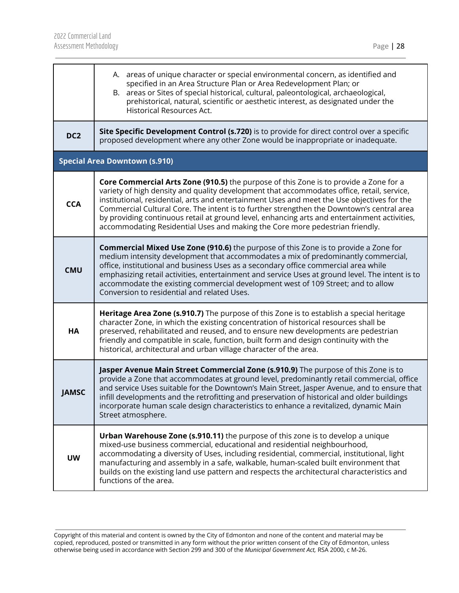|                                      | A. areas of unique character or special environmental concern, as identified and<br>specified in an Area Structure Plan or Area Redevelopment Plan; or<br>B. areas or Sites of special historical, cultural, paleontological, archaeological,<br>prehistorical, natural, scientific or aesthetic interest, as designated under the<br><b>Historical Resources Act.</b>                                                                                                                                                                                          |  |  |  |
|--------------------------------------|-----------------------------------------------------------------------------------------------------------------------------------------------------------------------------------------------------------------------------------------------------------------------------------------------------------------------------------------------------------------------------------------------------------------------------------------------------------------------------------------------------------------------------------------------------------------|--|--|--|
| DC <sub>2</sub>                      | Site Specific Development Control (s.720) is to provide for direct control over a specific<br>proposed development where any other Zone would be inappropriate or inadequate.                                                                                                                                                                                                                                                                                                                                                                                   |  |  |  |
| <b>Special Area Downtown (s.910)</b> |                                                                                                                                                                                                                                                                                                                                                                                                                                                                                                                                                                 |  |  |  |
| <b>CCA</b>                           | Core Commercial Arts Zone (910.5) the purpose of this Zone is to provide a Zone for a<br>variety of high density and quality development that accommodates office, retail, service,<br>institutional, residential, arts and entertainment Uses and meet the Use objectives for the<br>Commercial Cultural Core. The intent is to further strengthen the Downtown's central area<br>by providing continuous retail at ground level, enhancing arts and entertainment activities,<br>accommodating Residential Uses and making the Core more pedestrian friendly. |  |  |  |
| <b>CMU</b>                           | <b>Commercial Mixed Use Zone (910.6)</b> the purpose of this Zone is to provide a Zone for<br>medium intensity development that accommodates a mix of predominantly commercial,<br>office, institutional and business Uses as a secondary office commercial area while<br>emphasizing retail activities, entertainment and service Uses at ground level. The intent is to<br>accommodate the existing commercial development west of 109 Street; and to allow<br>Conversion to residential and related Uses.                                                    |  |  |  |
| HA                                   | Heritage Area Zone (s.910.7) The purpose of this Zone is to establish a special heritage<br>character Zone, in which the existing concentration of historical resources shall be<br>preserved, rehabilitated and reused, and to ensure new developments are pedestrian<br>friendly and compatible in scale, function, built form and design continuity with the<br>historical, architectural and urban village character of the area.                                                                                                                           |  |  |  |
| <b>JAMSC</b>                         | Jasper Avenue Main Street Commercial Zone (s.910.9) The purpose of this Zone is to<br>provide a Zone that accommodates at ground level, predominantly retail commercial, office<br>and service Uses suitable for the Downtown's Main Street, Jasper Avenue, and to ensure that<br>infill developments and the retrofitting and preservation of historical and older buildings<br>incorporate human scale design characteristics to enhance a revitalized, dynamic Main<br>Street atmosphere.                                                                    |  |  |  |
| <b>UW</b>                            | <b>Urban Warehouse Zone (s.910.11)</b> the purpose of this zone is to develop a unique<br>mixed-use business commercial, educational and residential neighbourhood,<br>accommodating a diversity of Uses, including residential, commercial, institutional, light<br>manufacturing and assembly in a safe, walkable, human-scaled built environment that<br>builds on the existing land use pattern and respects the architectural characteristics and<br>functions of the area.                                                                                |  |  |  |